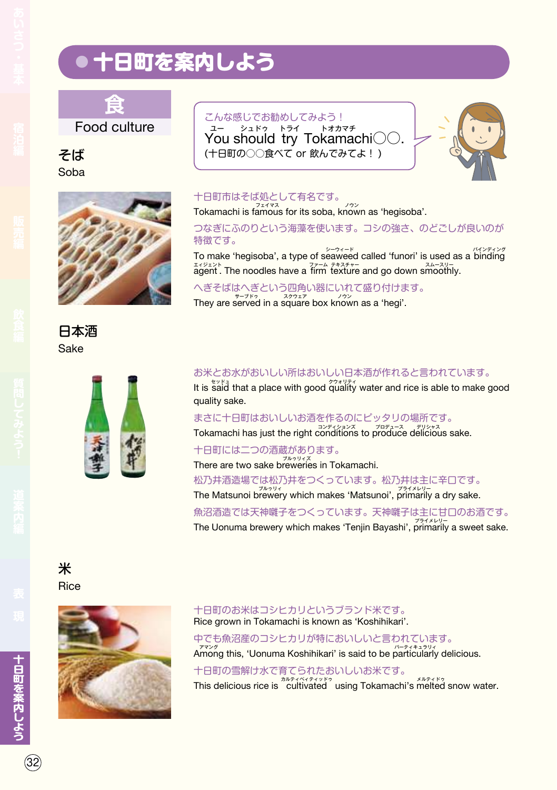

Food culture

そば Soba



日本酒 Sake



#### こんな感じでお勧めしてみよう! You should try Tokamachi○○. ユー シュドゥ トライ トオカマチ (十日町の○○食べて or 飲んでみてよ! )



 $32$ 

### 十日町市はそば処として有名です。

Tokamachi is famous for its soba, known as 'hegisoba'.

つなぎにふのりという海藻を使います。コシの強さ、のどごしが良いのが 特徴です。

To make 'hegisoba', a type of seaweed called 'funori' is used as a binding  $\frac{1}{2}$  agent . The noodles have a firm texture and go down smoothly.

へぎそばはへぎという四角い器にいれて盛り付けます。 They are served in a square box known as a 'hegi'.

### お米とお水がおいしい所はおいしい日本酒が作れると言われています。

It is said that a place with good quality water and rice is able to make good quality sake.

まさに十日町はおいしいお酒を作るのにピッタリの場所です。

Tokamachi has just the right conditions to produce delicious sake.

十日町には二つの酒蔵があります。

There are two sake breweries in Tokamachi.

松乃井酒造場では松乃井をつくっています。松乃井は主に辛口です。

The Matsunoi brewery which makes 'Matsunoi', primarily a dry sake.

魚沼酒造では天神囃子をつくっています。天神囃子は主に甘口のお酒です。 The Uonuma brewery which makes 'Tenjin Bayashi', primarily a sweet sake.

# 米 Rice



#### 十日町のお米はコシヒカリというブランド米です。 Rice grown in Tokamachi is known as 'Koshihikari'.

中でも魚沼産のコシヒカリが特においしいと言われています。

Among this, 'Uonuma Koshihikari' is said to be particularly delicious.

十日町の雪解け水で育てられたおいしいお米です。 This delicious rice is cultivated using Tokamachi's melted snow water.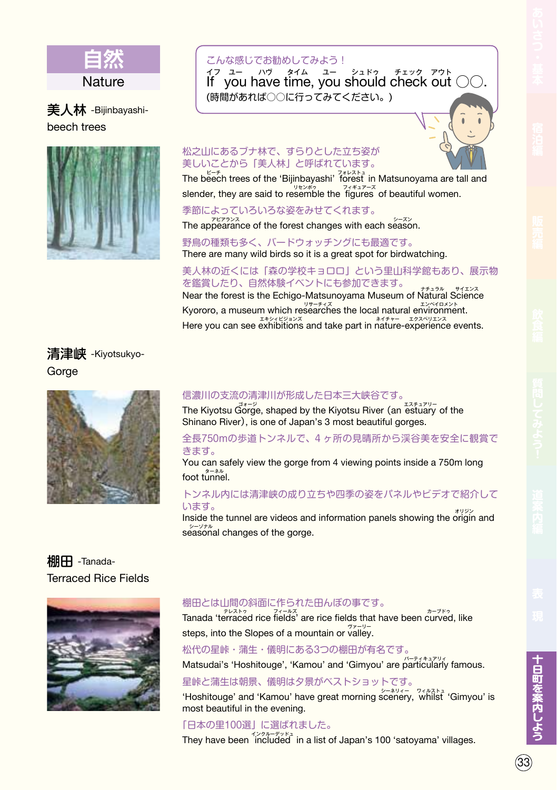

## 美人林 -Bijinbayashibeech trees



### こんな感じでお勧めしてみよう!

 $\frac{1}{10}$   $\frac{1}{10}$   $\frac{1}{20}$   $\frac{1}{20}$   $\frac{1}{20}$   $\frac{1}{20}$   $\frac{1}{20}$   $\frac{1}{20}$   $\frac{1}{20}$   $\frac{1}{20}$   $\frac{1}{20}$   $\frac{1}{20}$   $\frac{1}{20}$   $\frac{1}{20}$   $\frac{1}{20}$   $\frac{1}{20}$   $\frac{1}{20}$   $\frac{1}{20}$   $\frac{1}{20}$   $\frac{1}{20}$  イフ ユー ハウ タイム ユー シュドゥ チェック アウト (時間があれば○○に行ってみてください。)



#### 松之山にあるブナ林で、すらりとした立ち姿が 美しいことから「美人林」と呼ばれています。

The beech trees of the 'Bijinbayashi' forest in Matsunoyama are tall and slender, they are said to resemble the  $\frac{74427-7}{190}$  of beautiful women.

季節によっていろいろな姿をみせてくれます。

The appearance of the forest changes with each season.

野鳥の種類も多く、バードウォッチングにも最適です。 There are many wild birds so it is a great spot for birdwatching.

### 美人林の近くには「森の学校キョロロ」という里山科学館もあり、展示物 を鑑賞したり、自然体験イベントにも参加できます。

Near the forest is the Echigo-Matsunoyama Museum of Natural Science Kyororo, a museum which researches the local natural environment. Here you can see exhibitions and take part in nature-experience events.

### 清津峡 -Kiyotsukyo-Gorge



# 信濃川の支流の清津川が形成した日本三大峡谷です。

The Kiyotsu Gorge, shaped by the Kiyotsu River (an estuary of the Shinano River), is one of Japan's 3 most beautiful gorges.

#### 全長750mの歩道トンネルで、4 ヶ所の見晴所から渓谷美を安全に観賞で きます。

You can safely view the gorge from 4 viewing points inside a 750m long foot tターネル unnel.

#### トンネル内には清津峡の成り立ちや四季の姿をパネルやビデオで紹介して います。

**Inside the tunnel are videos and information panels showing the origin and** s シーゾナル easonal changes of the gorge.

### **棚田 -Tanada-**Terraced Rice Fields



#### 棚田とは山間の斜面に作られた田んぼの事です。

Tanada 't テレストゥ erraced rice fi フィールズ elds' are rice fields that have been c カーブドゥ urved, like steps, into the Slopes of a mountain or valley.

松代の星峠・蒲生・儀明にある3つの棚田が有名です。

Matsudai's 'Hoshitouge', 'Kamou' and 'Gimyou' are particularly famous.

星峠と蒲生は朝景、儀明は夕景がベストショットです。

Hoshitouge' and 'Kamou' have great morning scenery, whilst 'Gimyou' is most beautiful in the evening.

「日本の里100選」に選ばれました。 They have been included in a list of Japan's 100 'satoyama' villages.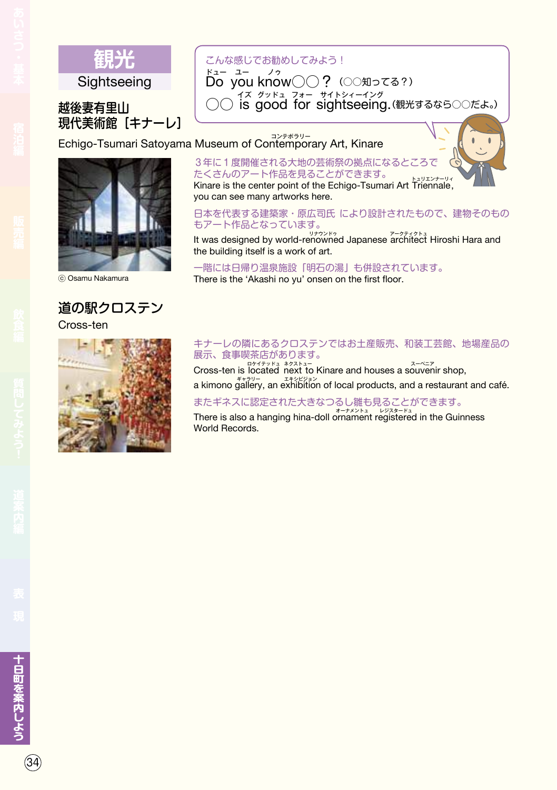

### こんな感じでお勧めしてみよう!

ドュー ュー<br>**Do you know○○?**(○○知ってる?) ドュー ノゥ 越後妻有里山 │ ○○ is good for sightseeing.(観光するなら○○だよ。) イズ グッドュ フォー サイトシィーイング

現代美術館「キナーレ]

Echigo-Tsumari Satoyama Museum of Contemporary Art, Kinare



# 道の駅クロステン

Cross-ten



### 3年に1度開催される大地の芸術祭の拠点になるところで たくさんのアート作品を見ることができます。

Kinare is the center point of the Echigo-Tsumari Art Triennale, you can see many artworks here.

日本を代表する建築家・原広司氏 により設計されたもので、建物そのもの もアート作品となっています。

It was designed by world-renowned Japanese architect Hiroshi Hara and the building itself is a work of art.

一階には日帰り温泉施設「明石の湯」も併設されています。 © Osamu Nakamura There is the 'Akashi no yu' onsen on the first floor.

#### キナーレの隣にあるクロステンではお土産販売、和装工芸館、地場産品の 展示、食事喫茶店があります。

Cross-ten is located next to Kinare and houses a souvenir shop, a kimono gallery, an exhibition of local products, and a restaurant and café.

 $34)$ 

### またギネスに認定された大きなつるし雛も見ることができます。

There is also a hanging hina-doll ornament registered in the Guinness World Records.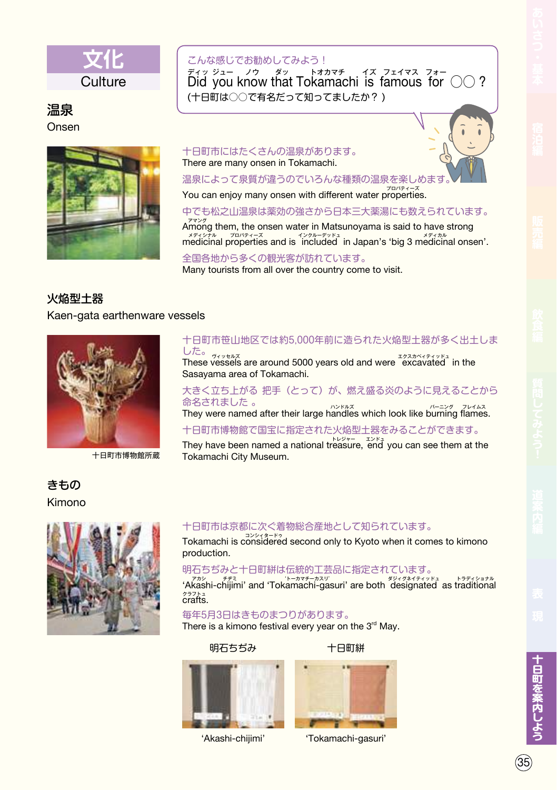

### 温泉 Onsen



### こんな感じでお勧めしてみよう!

 $\frac{1}{2}$ <br>Did you know that Tokamachi is famous for  $\bigcirc$  ? (十日町は○○で有名だって知ってましたか? )

#### 十日町市にはたくさんの温泉があります。 There are many onsen in Tokamachi.

温泉によって泉質が違うのでいろんな種類の温泉を楽しめます

You can enjoy many onsen with different water properties.

中でも松之山温泉は薬効の強さから日本三大薬湯にも数えられています。

Among them, the onsen water in Matsunoyama is said to have strong  $\frac{1}{27}$ <br>
medicinal properties and is 'included' in Japan's 'big 3 medicinal onsen'.

全国各地から多くの観光客が訪れています。 Many tourists from all over the country come to visit.

### 火焔型土器

#### Kaen-gata earthenware vessels



十日町市博物館所蔵

### きもの Kimono



### 十日町市笹山地区では約5,000年前に造られた火焔型土器が多く出土しま した。

These vヴィッセルズ essels are around 5000 years old and were eエクスカベィティッドュ xcavated in the Sasayama area of Tokamachi.

### 大きく立ち上がる 把手(とって)が、燃え盛る炎のように見えることから 命名されました 。

They were named after their large handles which look like burning flames.

### 十日町市博物館で国宝に指定された火焔型土器をみることができます。

They have been named a national treasure, end you can see them at the Tokamachi City Museum.

### 十日町市は京都に次ぐ着物総合産地として知られています。

Tokamachi is cコンシィタードゥ onsidered second only to Kyoto when it comes to kimono production.

### 明石ちぢみと十日町絣は伝統的工芸品に指定されています。

*himi'* and 'Tokamachi-gasuri' are both designated as traditional<br>'Akashi-chijimi' and 'Tokamachi-gasuri' are both designated as traditional <sup>クラフトュ</sup><br><mark>crafts.</mark>

#### 毎年5月3日はきものまつりがあります。

There is a kimono festival every year on the  $3<sup>rd</sup>$  May.

#### 明石ちぢみ



'Akashi-chijimi'



十日町絣

'Tokamachi-gasuri'

 $\sim$  35  $\sim$  35  $\sim$  35  $\sim$  35  $\sim$  35  $\sim$  35  $\sim$  35  $\sim$  35  $\sim$  35  $\sim$  35  $\sim$  35  $\sim$  35  $\sim$  35  $\sim$  35  $\sim$  35  $\sim$  35  $\sim$  35  $\sim$  35  $\sim$  35  $\sim$  35  $\sim$  35  $\sim$  35  $\sim$  35  $\sim$  35  $\sim$  35  $\sim$  35  $\sim$  35  $\sim$